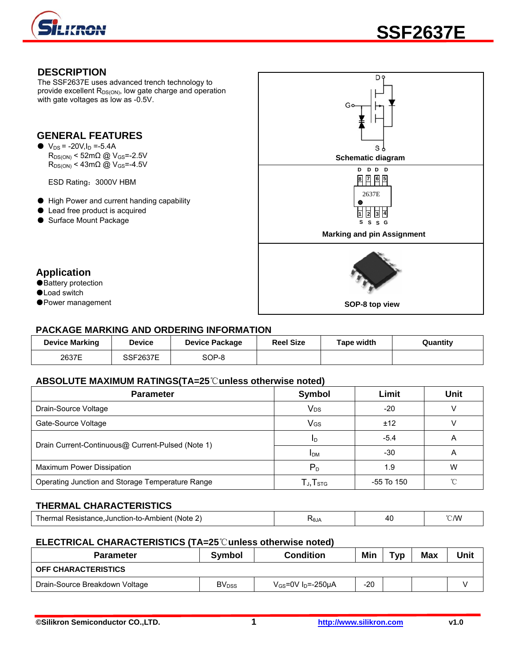

### **DESCRIPTION**

The SSF2637E uses advanced trench technology to provide excellent  $R_{DS(ON)}$ , low gate charge and operation with gate voltages as low as -0.5V.

# **GENERAL FEATURES**

 $\bullet$  V<sub>DS</sub> = -20V, I<sub>D</sub> = -5.4A  $R_{DS(ON)}$  < 52m $\Omega$  @ V<sub>GS</sub>=-2.5V  $R_{DS(ON)}$  < 43m $\Omega$  @ V<sub>GS</sub>=-4.5V

ESD Rating:3000V HBM

- High Power and current handing capability
- Lead free product is acquired
- Surface Mount Package

**Application** 

● Battery protection ●Load switch

●Power management



# **PACKAGE MARKING AND ORDERING INFORMATION**

| <b>Device Marking</b> | <b>Device</b>   | <b>Device Package</b> | <b>Reel Size</b> | Tape width | Quantity |
|-----------------------|-----------------|-----------------------|------------------|------------|----------|
| 2637E                 | <b>SSF2637E</b> | SOP-8                 |                  |            |          |

#### **ABSOLUTE MAXIMUM RATINGS(TA=25**℃**unless otherwise noted)**

| <b>Parameter</b>                                  | Symbol                                                | Limit      | <b>Unit</b> |
|---------------------------------------------------|-------------------------------------------------------|------------|-------------|
| Drain-Source Voltage                              | <b>V<sub>DS</sub></b>                                 | $-20$      |             |
| Gate-Source Voltage                               | VGS                                                   | ±12        |             |
| Drain Current-Continuous@ Current-Pulsed (Note 1) | ID                                                    | $-5.4$     | A           |
|                                                   | <b>IDM</b>                                            | -30        | A           |
| Maximum Power Dissipation                         | $P_D$                                                 | 1.9        | W           |
| Operating Junction and Storage Temperature Range  | ${\mathsf T}_{\mathsf J}, {\mathsf T}_{\textsf{STG}}$ | -55 To 150 | ∽           |

## **THERMAL CHARACTERISTICS**

| $\overline{\phantom{a}}$<br>'Note<br>$\sim$ nnoo<br>mbien.<br>Ar∽.Junction-to-A<br>≔aaldika… | AlθZ | Δſ | $\gamma \sim 100$<br><u>.</u> |
|----------------------------------------------------------------------------------------------|------|----|-------------------------------|
|                                                                                              |      |    |                               |

#### **ELECTRICAL CHARACTERISTICS (TA=25**℃**unless otherwise noted)**

| <b>Parameter</b>               | Symbol                   | <b>Condition</b>                    | Min   | Typ | <b>Max</b> | Unit |
|--------------------------------|--------------------------|-------------------------------------|-------|-----|------------|------|
| <b>OFF CHARACTERISTICS</b>     |                          |                                     |       |     |            |      |
| Drain-Source Breakdown Voltage | <b>BV</b> <sub>DSS</sub> | $V_{GS}$ =0V I <sub>D</sub> =-250µA | $-20$ |     |            |      |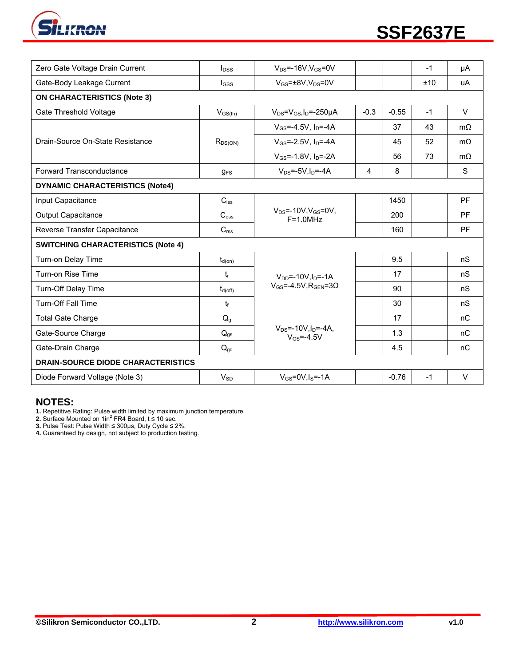

| Zero Gate Voltage Drain Current           | $I_{DSS}$        | $V_{DS} = -16V$ , $V_{GS} = 0V$                         |        |         | $-1$ | μA        |  |
|-------------------------------------------|------------------|---------------------------------------------------------|--------|---------|------|-----------|--|
| Gate-Body Leakage Current                 | $_{\text{loss}}$ | $V_{GS} = \pm 8V$ , $V_{DS} = 0V$                       |        |         | ±10  | uA        |  |
| <b>ON CHARACTERISTICS (Note 3)</b>        |                  |                                                         |        |         |      |           |  |
| Gate Threshold Voltage                    | $V_{GS(th)}$     | $V_{DS} = V_{GS}I_D = -250 \mu A$                       | $-0.3$ | $-0.55$ | $-1$ | $\vee$    |  |
|                                           |                  | $V_{GS} = -4.5V$ , $I_D = -4A$                          |        | 37      | 43   | $m\Omega$ |  |
| Drain-Source On-State Resistance          | $R_{DS(ON)}$     | $V_{GS} = -2.5V$ , $I_D = -4A$                          |        | 45      | 52   | $m\Omega$ |  |
|                                           |                  | $V_{GS} = -1.8V$ , $I_{D} = -2A$                        |        | 56      | 73   | $m\Omega$ |  |
| Forward Transconductance                  | $g_{FS}$         | $V_{DS} = -5V, I_D = -4A$                               | 4      | 8       |      | S         |  |
| <b>DYNAMIC CHARACTERISTICS (Note4)</b>    |                  |                                                         |        |         |      |           |  |
| Input Capacitance                         | $C_{\text{lss}}$ |                                                         |        | 1450    |      | <b>PF</b> |  |
| <b>Output Capacitance</b>                 | C <sub>oss</sub> | $V_{DS}$ =-10V, $V_{GS}$ =0V,<br>$F = 1.0 MHz$          |        | 200     |      | PF        |  |
| Reverse Transfer Capacitance              | C <sub>rss</sub> |                                                         |        | 160     |      | PF        |  |
| <b>SWITCHING CHARACTERISTICS (Note 4)</b> |                  |                                                         |        |         |      |           |  |
| Turn-on Delay Time                        | $t_{d(on)}$      |                                                         |        | 9.5     |      | nS        |  |
| Turn-on Rise Time                         | $t_{r}$          | $V_{DD} = -10V, I_D = -1A$                              |        | 17      |      | nS        |  |
| Turn-Off Delay Time                       | $t_{d(off)}$     | $V_{GS} = -4.5V$ , RGEN=30                              |        | 90      |      | nS        |  |
| <b>Turn-Off Fall Time</b>                 | $t_{\rm f}$      |                                                         |        | 30      |      | nS        |  |
| <b>Total Gate Charge</b>                  | Q <sub>g</sub>   |                                                         |        | 17      |      | nC        |  |
| Gate-Source Charge                        | $Q_{gs}$         | $V_{DS}$ =-10V, $I_D$ =-4A,<br>$V$ <sub>GS</sub> =-4.5V |        | 1.3     |      | nC        |  |
| Gate-Drain Charge                         | $Q_{gd}$         |                                                         |        | 4.5     |      | nC        |  |
| <b>DRAIN-SOURCE DIODE CHARACTERISTICS</b> |                  |                                                         |        |         |      |           |  |
| Diode Forward Voltage (Note 3)            | $V_{SD}$         | $V_{GS}$ =0V, $I_S$ =-1A                                |        | $-0.76$ | $-1$ | $\vee$    |  |

# **NOTES:**

**1.** Repetitive Rating: Pulse width limited by maximum junction temperature.<br>**2.** Surface Mounted on 1in<sup>2</sup> FR4 Board, t ≤ 10 sec.

**3.** Pulse Test: Pulse Width ≤ 300μs, Duty Cycle ≤ 2%.

**4.** Guaranteed by design, not subject to production testing.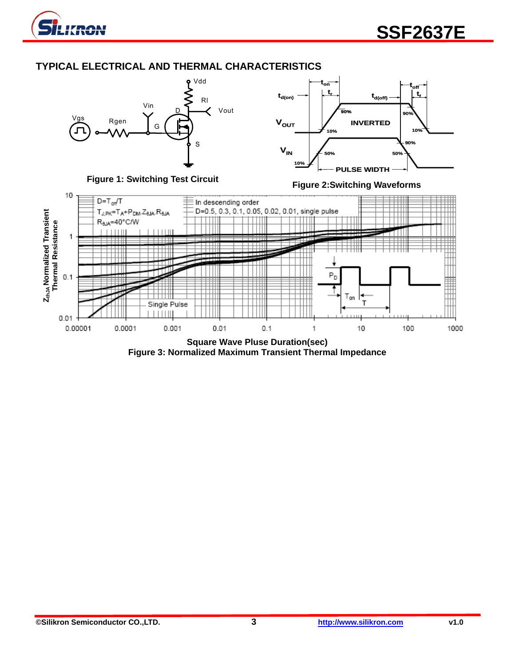

# **TYPICAL ELECTRICAL AND THERMAL CHARACTERISTICS**



**Square Wave Pluse Duration(sec) Figure 3: Normalized Maximum Transient Thermal Impedance**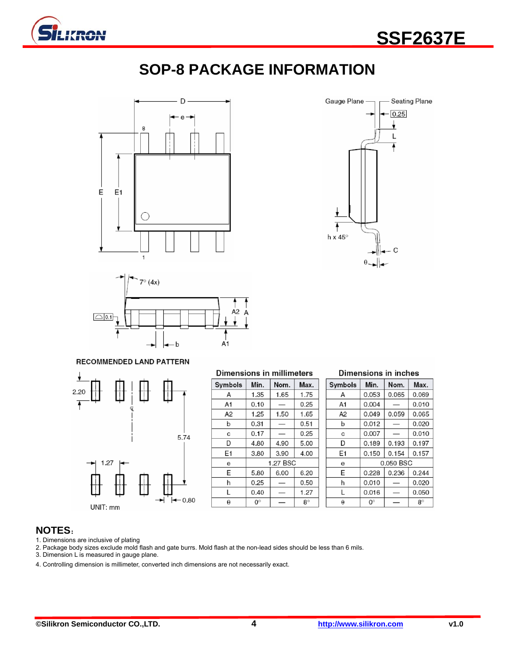

# **SOP-8 PACKAGE INFORMATION**







#### RECOMMENDED LAND PATTERN



| <b>Dimensions in millimeters</b> |           |          |           |  |  |  |
|----------------------------------|-----------|----------|-----------|--|--|--|
| Symbols                          | Min.      | Nom.     | Max.      |  |  |  |
| А                                | 1.35      | 1.65     | 1.75      |  |  |  |
| A1                               | 0.10      |          | 0.25      |  |  |  |
| A2                               | 1.25      | 1.50     | 1.65      |  |  |  |
| b                                | 0.31      |          | 0.51      |  |  |  |
| C                                | 0.17      |          | 0.25      |  |  |  |
| D                                | 4.80      | 4.90     | 5.00      |  |  |  |
| E1                               | 3.80      | 3.90     | 4.00      |  |  |  |
| e                                |           | 1.27 BSC |           |  |  |  |
| E                                | 5.80      | 6.00     | 6.20      |  |  |  |
| h                                | 0.25      |          | 0.50      |  |  |  |
| L                                | 0.40      |          | 1.27      |  |  |  |
| θ                                | $0^\circ$ |          | $8^\circ$ |  |  |  |

#### Dimensions in inches

| Symbols | Min.      | Nom.  | Max.      |
|---------|-----------|-------|-----------|
| А       | 0.053     | 0.065 | 0.069     |
| A1      | 0.004     |       | 0.010     |
| A2      | 0.049     | 0.059 | 0.065     |
| b       | 0.012     |       | 0.020     |
| C       | 0.007     |       | 0.010     |
| D       | 0.189     | 0.193 | 0.197     |
| E1      | 0.150     | 0.154 | 0.157     |
| e       | 0.050 BSC |       |           |
| E       | 0.228     | 0.236 | 0.244     |
| h       | 0.010     |       | 0.020     |
| L       | 0.016     |       | 0.050     |
| θ       | 0°        |       | $8^\circ$ |

### **NOTES**:

- 1. Dimensions are inclusive of plating
- 2. Package body sizes exclude mold flash and gate burrs. Mold flash at the non-lead sides should be less than 6 mils.
- 3. Dimension L is measured in gauge plane.
- 4. Controlling dimension is millimeter, converted inch dimensions are not necessarily exact.